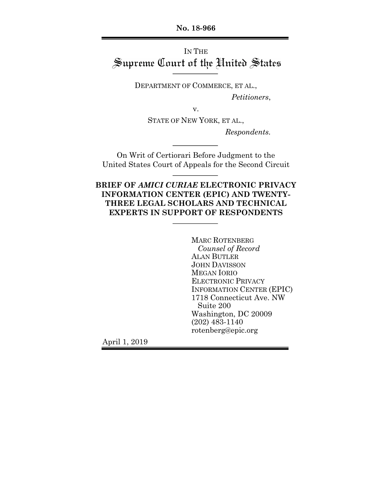**No. 18-966**

# IN THE Supreme Court of the United States

DEPARTMENT OF COMMERCE, ET AL.,

*Petitioners*,

v.

STATE OF NEW YORK, ET AL.,

*Respondents.*

On Writ of Certiorari Before Judgment to the United States Court of Appeals for the Second Circuit

## **BRIEF OF** *AMICI CURIAE* **ELECTRONIC PRIVACY INFORMATION CENTER (EPIC) AND TWENTY-THREE LEGAL SCHOLARS AND TECHNICAL EXPERTS IN SUPPORT OF RESPONDENTS**

MARC ROTENBERG *Counsel of Record* ALAN BUTLER JOHN DAVISSON MEGAN IORIO ELECTRONIC PRIVACY INFORMATION CENTER (EPIC) 1718 Connecticut Ave. NW Suite 200 Washington, DC 20009 (202) 483-1140 rotenberg@epic.org

April 1, 2019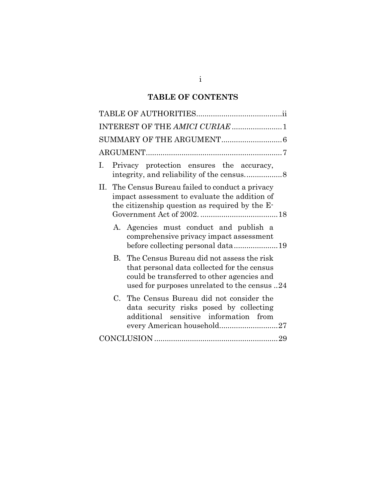# **TABLE OF CONTENTS**

| INTEREST OF THE AMICI CURIAE 1                                                                                                                                                            |
|-------------------------------------------------------------------------------------------------------------------------------------------------------------------------------------------|
|                                                                                                                                                                                           |
|                                                                                                                                                                                           |
| Privacy protection ensures the accuracy,<br>$\mathbf{L}$                                                                                                                                  |
| II. The Census Bureau failed to conduct a privacy<br>impact assessment to evaluate the addition of<br>the citizenship question as required by the E-                                      |
| A. Agencies must conduct and publish a<br>comprehensive privacy impact assessment                                                                                                         |
| B. The Census Bureau did not assess the risk<br>that personal data collected for the census<br>could be transferred to other agencies and<br>used for purposes unrelated to the census 24 |
| C. The Census Bureau did not consider the<br>data security risks posed by collecting<br>additional sensitive information from<br>every American household27                               |
|                                                                                                                                                                                           |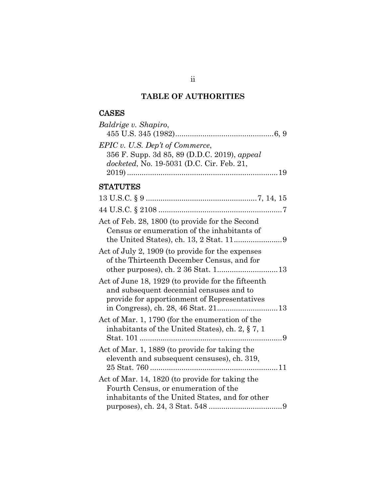# **TABLE OF AUTHORITIES**

# CASES

| Baldrige v. Shapiro,                                                                                                         |  |
|------------------------------------------------------------------------------------------------------------------------------|--|
| EPIC v. U.S. Dep't of Commerce,<br>356 F. Supp. 3d 85, 89 (D.D.C. 2019), appeal<br>docketed, No. 19-5031 (D.C. Cir. Feb. 21, |  |
|                                                                                                                              |  |
| <b>STATUTES</b>                                                                                                              |  |
|                                                                                                                              |  |
|                                                                                                                              |  |
| 1000 - 1000 - 1000 - 1000 - 1000 - 1000 - 1000 - 1000 - 1000 - 1000 - 1000 - 1000 - 1000 - 1000 - 1000 - 1000 -              |  |

| Act of Feb. 28, 1800 (to provide for the Second                                                                                                |  |
|------------------------------------------------------------------------------------------------------------------------------------------------|--|
| Census or enumeration of the inhabitants of                                                                                                    |  |
| Act of July 2, 1909 (to provide for the expenses<br>of the Thirteenth December Census, and for                                                 |  |
| Act of June 18, 1929 (to provide for the fifteenth<br>and subsequent decennial censuses and to<br>provide for apportionment of Representatives |  |
| Act of Mar. 1, 1790 (for the enumeration of the<br>inhabitants of the United States), ch. 2, $\S 7$ , 1                                        |  |
| Act of Mar. 1, 1889 (to provide for taking the<br>eleventh and subsequent censuses), ch. 319,                                                  |  |
| Act of Mar. 14, 1820 (to provide for taking the<br>Fourth Census, or enumeration of the<br>inhabitants of the United States, and for other     |  |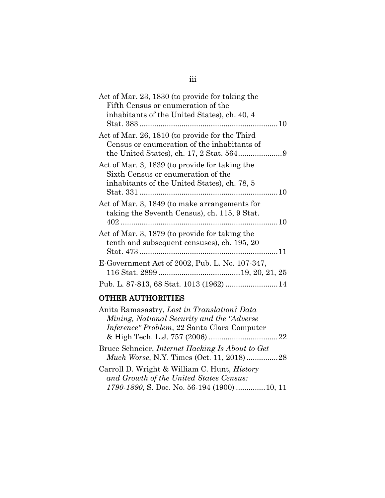| Act of Mar. 23, 1830 (to provide for taking the<br>Fifth Census or enumeration of the<br>inhabitants of the United States), ch. 40, 4 |  |
|---------------------------------------------------------------------------------------------------------------------------------------|--|
|                                                                                                                                       |  |
| Act of Mar. 26, 1810 (to provide for the Third<br>Census or enumeration of the inhabitants of                                         |  |
| Act of Mar. 3, 1839 (to provide for taking the<br>Sixth Census or enumeration of the<br>inhabitants of the United States), ch. 78, 5  |  |
| Act of Mar. 3, 1849 (to make arrangements for<br>taking the Seventh Census), ch. 115, 9 Stat.                                         |  |
| Act of Mar. 3, 1879 (to provide for taking the<br>tenth and subsequent censuses), ch. 195, 20                                         |  |
| E-Government Act of 2002, Pub. L. No. 107-347,                                                                                        |  |
| Pub. L. 87-813, 68 Stat. 1013 (1962)  14                                                                                              |  |

# OTHER AUTHORITIES

| Anita Ramasastry, Lost in Translation? Data                                                                |  |
|------------------------------------------------------------------------------------------------------------|--|
| Mining, National Security and the "Adverse"                                                                |  |
| Inference" Problem, 22 Santa Clara Computer                                                                |  |
|                                                                                                            |  |
| Bruce Schneier, <i>Internet Hacking Is About to Get</i><br><i>Much Worse, N.Y. Times (Oct. 11, 2018)28</i> |  |
| Carroll D. Wright & William C. Hunt, <i>History</i><br>and Growth of the United States Census:             |  |
| 1790-1890, S. Doc. No. 56-194 (1900)  10, 11                                                               |  |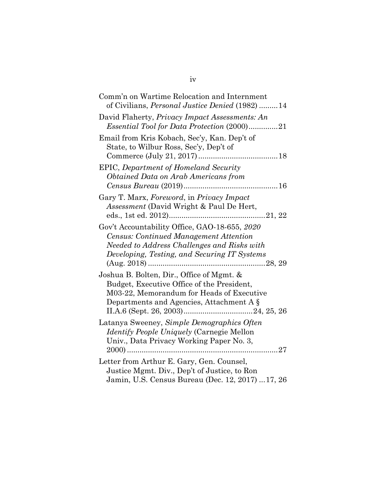| Comm'n on Wartime Relocation and Internment<br>of Civilians, <i>Personal Justice Denied</i> (1982) 14                                                                                         |
|-----------------------------------------------------------------------------------------------------------------------------------------------------------------------------------------------|
| David Flaherty, <i>Privacy Impact Assessments: An</i><br><i>Essential Tool for Data Protection (2000)21</i>                                                                                   |
| Email from Kris Kobach, Sec'y, Kan. Dep't of<br>State, to Wilbur Ross, Sec'y, Dep't of                                                                                                        |
| EPIC, Department of Homeland Security<br>Obtained Data on Arab Americans from                                                                                                                 |
| Gary T. Marx, Foreword, in Privacy Impact<br><i>Assessment</i> (David Wright & Paul De Hert,                                                                                                  |
| Gov't Accountability Office, GAO-18-655, 2020<br><b>Census: Continued Management Attention</b><br>Needed to Address Challenges and Risks with<br>Developing, Testing, and Securing IT Systems |
| Joshua B. Bolten, Dir., Office of Mgmt. &<br>Budget, Executive Office of the President,<br>M03-22, Memorandum for Heads of Executive<br>Departments and Agencies, Attachment A §              |
| Latanya Sweeney, Simple Demographics Often<br><i>Identify People Uniquely (Carnegie Mellon</i><br>Univ., Data Privacy Working Paper No. 3,                                                    |
| Letter from Arthur E. Gary, Gen. Counsel,<br>Justice Mgmt. Div., Dep't of Justice, to Ron<br>Jamin, U.S. Census Bureau (Dec. 12, 2017) 17, 26                                                 |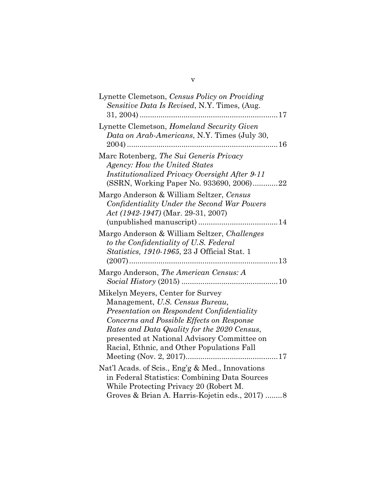| Lynette Clemetson, Census Policy on Providing<br>Sensitive Data Is Revised, N.Y. Times, (Aug.                                                                                                                                                                                                               |
|-------------------------------------------------------------------------------------------------------------------------------------------------------------------------------------------------------------------------------------------------------------------------------------------------------------|
| Lynette Clemetson, Homeland Security Given<br>Data on Arab-Americans, N.Y. Times (July 30,<br>$2004)$                                                                                                                                                                                                       |
| Marc Rotenberg, The Sui Generis Privacy<br>Agency: How the United States<br><b>Institutionalized Privacy Oversight After 9-11</b><br>(SSRN, Working Paper No. 933690, 2006)22                                                                                                                               |
| Margo Anderson & William Seltzer, Census<br>Confidentiality Under the Second War Powers<br>Act $(1942-1947)$ (Mar. 29-31, 2007)                                                                                                                                                                             |
| Margo Anderson & William Seltzer, Challenges<br>to the Confidentiality of U.S. Federal<br>Statistics, 1910-1965, 23 J Official Stat. 1                                                                                                                                                                      |
| Margo Anderson, The American Census: A                                                                                                                                                                                                                                                                      |
| Mikelyn Meyers, Center for Survey<br>Management, U.S. Census Bureau,<br>Presentation on Respondent Confidentiality<br>Concerns and Possible Effects on Response<br>Rates and Data Quality for the 2020 Census,<br>presented at National Advisory Committee on<br>Racial, Ethnic, and Other Populations Fall |
| Nat'l Acads. of Scis., Eng'g & Med., Innovations<br>in Federal Statistics: Combining Data Sources<br>While Protecting Privacy 20 (Robert M.<br>Groves & Brian A. Harris-Kojetin eds., 2017) 8                                                                                                               |

## v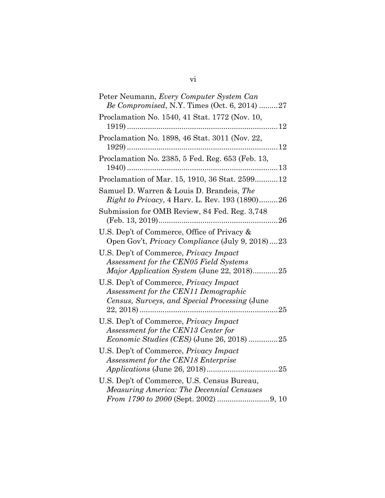| Peter Neumann, Every Computer System Can<br>Be Compromised, N.Y. Times (Oct. 6, 2014) 27                                              |
|---------------------------------------------------------------------------------------------------------------------------------------|
| Proclamation No. 1540, 41 Stat. 1772 (Nov. 10,                                                                                        |
| Proclamation No. 1898, 46 Stat. 3011 (Nov. 22,                                                                                        |
| Proclamation No. 2385, 5 Fed. Reg. 653 (Feb. 13,                                                                                      |
| Proclamation of Mar. 15, 1910, 36 Stat. 259912                                                                                        |
| Samuel D. Warren & Louis D. Brandeis, The<br><i>Right to Privacy</i> , 4 Harv. L. Rev. 193 (1890)26                                   |
| Submission for OMB Review, 84 Fed. Reg. 3,748                                                                                         |
| U.S. Dep't of Commerce, Office of Privacy &<br>Open Gov't, <i>Privacy Compliance</i> (July 9, 2018)23                                 |
| U.S. Dep't of Commerce, <i>Privacy Impact</i><br>Assessment for the CEN05 Field Systems<br>Major Application System (June 22, 2018)25 |
| U.S. Dep't of Commerce, Privacy Impact<br>Assessment for the CEN11 Demographic<br>Census, Surveys, and Special Processing (June       |
| U.S. Dep't of Commerce, Privacy Impact<br>Assessment for the CEN13 Center for<br>Economic Studies (CES) (June 26, 2018) 25            |
| U.S. Dep't of Commerce, Privacy Impact<br>Assessment for the CEN18 Enterprise                                                         |
| U.S. Dep't of Commerce, U.S. Census Bureau,<br><b>Measuring America: The Decennial Censuses</b>                                       |

# vi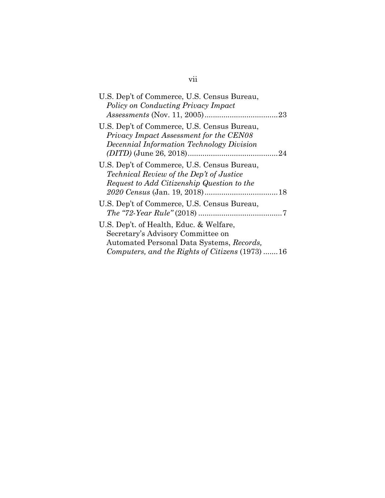| U.S. Dep't of Commerce, U.S. Census Bureau,<br>Policy on Conducting Privacy Impact                                                                                           |  |
|------------------------------------------------------------------------------------------------------------------------------------------------------------------------------|--|
| U.S. Dep't of Commerce, U.S. Census Bureau,<br>Privacy Impact Assessment for the CEN08<br>Decennial Information Technology Division                                          |  |
| U.S. Dep't of Commerce, U.S. Census Bureau,<br><i>Technical Review of the Dep't of Justice</i><br>Request to Add Citizenship Question to the                                 |  |
| U.S. Dep't of Commerce, U.S. Census Bureau,                                                                                                                                  |  |
| U.S. Dep't. of Health, Educ. & Welfare,<br>Secretary's Advisory Committee on<br>Automated Personal Data Systems, Records,<br>Computers, and the Rights of Citizens (1973) 16 |  |

# vii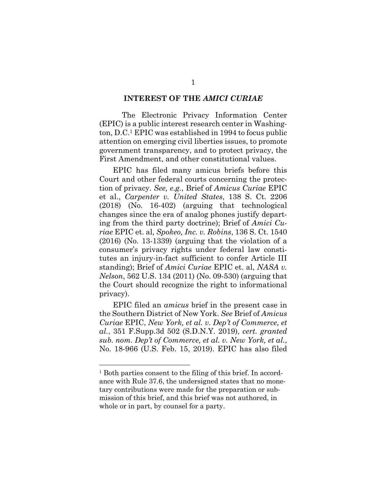### **INTEREST OF THE** *AMICI CURIAE*

The Electronic Privacy Information Center (EPIC) is a public interest research center in Washington, D.C.1 EPIC was established in 1994 to focus public attention on emerging civil liberties issues, to promote government transparency, and to protect privacy, the First Amendment, and other constitutional values.

EPIC has filed many amicus briefs before this Court and other federal courts concerning the protection of privacy. *See, e.g.*, Brief of *Amicus Curiae* EPIC et al., *Carpenter v. United States*, 138 S. Ct. 2206 (2018) (No. 16-402) (arguing that technological changes since the era of analog phones justify departing from the third party doctrine); Brief of *Amici Curiae* EPIC et. al, *Spokeo, Inc. v. Robins*, 136 S. Ct. 1540 (2016) (No. 13-1339) (arguing that the violation of a consumer's privacy rights under federal law constitutes an injury-in-fact sufficient to confer Article III standing); Brief of *Amici Curiae* EPIC et. al, *NASA v. Nelson*, 562 U.S. 134 (2011) (No. 09-530) (arguing that the Court should recognize the right to informational privacy).

EPIC filed an *amicus* brief in the present case in the Southern District of New York. *See* Brief of *Amicus Curiae* EPIC, *New York, et al. v. Dep't of Commerce, et al.*, 351 F.Supp.3d 502 (S.D.N.Y. 2019), *cert. granted sub. nom. Dep't of Commerce, et al. v. New York, et al.*, No. 18-966 (U.S. Feb. 15, 2019). EPIC has also filed

<sup>&</sup>lt;sup>1</sup> Both parties consent to the filing of this brief. In accordance with Rule 37.6, the undersigned states that no monetary contributions were made for the preparation or submission of this brief, and this brief was not authored, in whole or in part, by counsel for a party.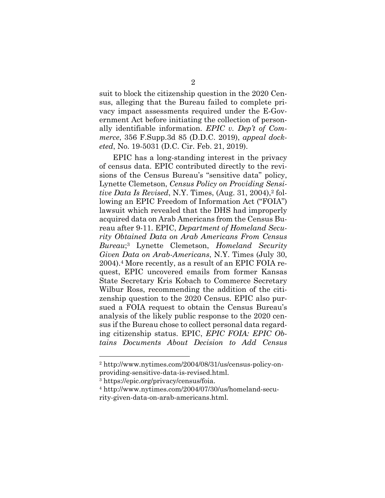suit to block the citizenship question in the 2020 Census, alleging that the Bureau failed to complete privacy impact assessments required under the E-Government Act before initiating the collection of personally identifiable information. *EPIC v. Dep't of Commerce*, 356 F.Supp.3d 85 (D.D.C. 2019), *appeal docketed*, No. 19-5031 (D.C. Cir. Feb. 21, 2019).

EPIC has a long-standing interest in the privacy of census data. EPIC contributed directly to the revisions of the Census Bureau's "sensitive data" policy, Lynette Clemetson, *Census Policy on Providing Sensitive Data Is Revised*, N.Y. Times,  $(Aug. 31, 2004)$ ,  $2$  following an EPIC Freedom of Information Act ("FOIA") lawsuit which revealed that the DHS had improperly acquired data on Arab Americans from the Census Bureau after 9-11. EPIC, *Department of Homeland Security Obtained Data on Arab Americans From Census Bureau*;3 Lynette Clemetson, *Homeland Security Given Data on Arab-Americans*, N.Y. Times (July 30, 2004).4 More recently, as a result of an EPIC FOIA request, EPIC uncovered emails from former Kansas State Secretary Kris Kobach to Commerce Secretary Wilbur Ross, recommending the addition of the citizenship question to the 2020 Census. EPIC also pursued a FOIA request to obtain the Census Bureau's analysis of the likely public response to the 2020 census if the Bureau chose to collect personal data regarding citizenship status. EPIC, *EPIC FOIA: EPIC Obtains Documents About Decision to Add Census* 

<sup>2</sup> http://www.nytimes.com/2004/08/31/us/census-policy-onproviding-sensitive-data-is-revised.html.

<sup>3</sup> https://epic.org/privacy/census/foia.

<sup>4</sup> http://www.nytimes.com/2004/07/30/us/homeland-security-given-data-on-arab-americans.html.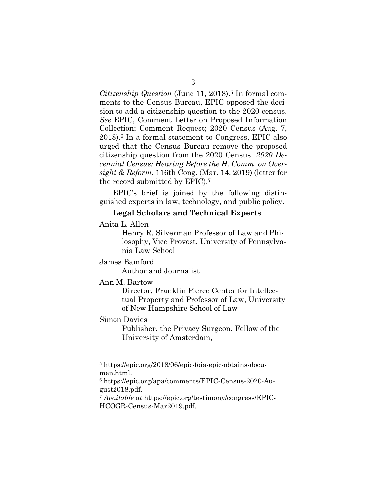*Citizenship Question* (June 11, 2018).5 In formal comments to the Census Bureau, EPIC opposed the decision to add a citizenship question to the 2020 census. *See* EPIC, Comment Letter on Proposed Information Collection; Comment Request; 2020 Census (Aug. 7, 2018).6 In a formal statement to Congress, EPIC also urged that the Census Bureau remove the proposed citizenship question from the 2020 Census. *2020 Decennial Census: Hearing Before the H. Comm. on Oversight & Reform*, 116th Cong. (Mar. 14, 2019) (letter for the record submitted by EPIC).<sup>7</sup>

EPIC's brief is joined by the following distinguished experts in law, technology, and public policy.

### **Legal Scholars and Technical Experts**

Anita L. Allen

Henry R. Silverman Professor of Law and Philosophy, Vice Provost, University of Pennsylvania Law School

James Bamford

Author and Journalist

#### Ann M. Bartow

Director, Franklin Pierce Center for Intellectual Property and Professor of Law, University of New Hampshire School of Law

### Simon Davies

 $\overline{a}$ 

Publisher, the Privacy Surgeon, Fellow of the University of Amsterdam,

<sup>5</sup> https://epic.org/2018/06/epic-foia-epic-obtains-documen.html.

<sup>6</sup> https://epic.org/apa/comments/EPIC-Census-2020-August2018.pdf.

<sup>7</sup> *Available at* https://epic.org/testimony/congress/EPIC-HCOGR-Census-Mar2019.pdf.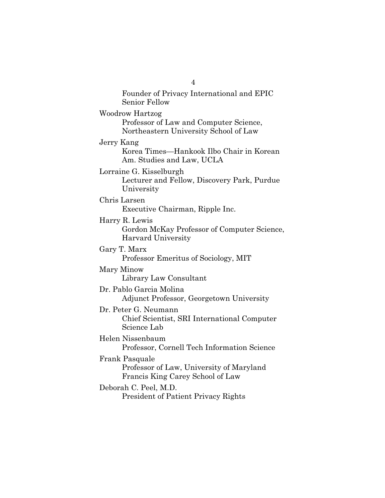Senior Fellow Woodrow Hartzog Professor of Law and Computer Science, Northeastern University School of Law Jerry Kang Korea Times—Hankook Ilbo Chair in Korean Am. Studies and Law, UCLA Lorraine G. Kisselburgh Lecturer and Fellow, Discovery Park, Purdue University Chris Larsen Executive Chairman, Ripple Inc. Harry R. Lewis Gordon McKay Professor of Computer Science, Harvard University Gary T. Marx Professor Emeritus of Sociology, MIT Mary Minow Library Law Consultant Dr. Pablo Garcia Molina Adjunct Professor, Georgetown University Dr. Peter G. Neumann Chief Scientist, SRI International Computer Science Lab Helen Nissenbaum Professor, Cornell Tech Information Science Frank Pasquale Professor of Law, University of Maryland Francis King Carey School of Law Deborah C. Peel, M.D. President of Patient Privacy Rights

4

Founder of Privacy International and EPIC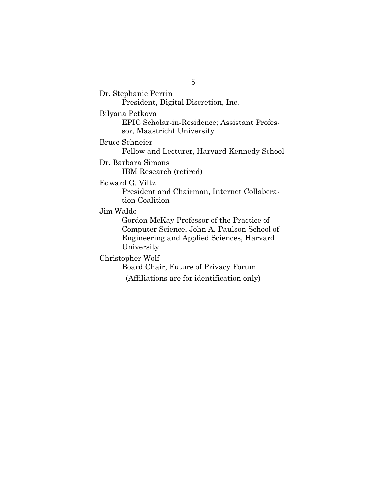Dr. Stephanie Perrin

President, Digital Discretion, Inc.

Bilyana Petkova

EPIC Scholar-in-Residence; Assistant Professor, Maastricht University

Bruce Schneier

Fellow and Lecturer, Harvard Kennedy School

Dr. Barbara Simons

IBM Research (retired)

Edward G. Viltz

President and Chairman, Internet Collaboration Coalition

### Jim Waldo

Gordon McKay Professor of the Practice of Computer Science, John A. Paulson School of Engineering and Applied Sciences, Harvard University

### Christopher Wolf

Board Chair, Future of Privacy Forum

(Affiliations are for identification only)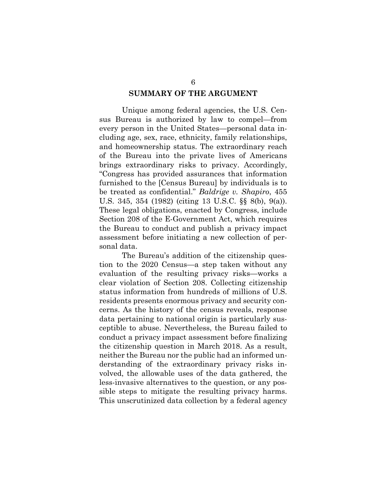### **SUMMARY OF THE ARGUMENT**

Unique among federal agencies, the U.S. Census Bureau is authorized by law to compel—from every person in the United States—personal data including age, sex, race, ethnicity, family relationships, and homeownership status. The extraordinary reach of the Bureau into the private lives of Americans brings extraordinary risks to privacy. Accordingly, "Congress has provided assurances that information furnished to the [Census Bureau] by individuals is to be treated as confidential." *Baldrige v. Shapiro*, 455 U.S. 345, 354 (1982) (citing 13 U.S.C. §§ 8(b), 9(a)). These legal obligations, enacted by Congress, include Section 208 of the E-Government Act, which requires the Bureau to conduct and publish a privacy impact assessment before initiating a new collection of personal data.

The Bureau's addition of the citizenship question to the 2020 Census—a step taken without any evaluation of the resulting privacy risks—works a clear violation of Section 208. Collecting citizenship status information from hundreds of millions of U.S. residents presents enormous privacy and security concerns. As the history of the census reveals, response data pertaining to national origin is particularly susceptible to abuse. Nevertheless, the Bureau failed to conduct a privacy impact assessment before finalizing the citizenship question in March 2018. As a result, neither the Bureau nor the public had an informed understanding of the extraordinary privacy risks involved, the allowable uses of the data gathered, the less-invasive alternatives to the question, or any possible steps to mitigate the resulting privacy harms. This unscrutinized data collection by a federal agency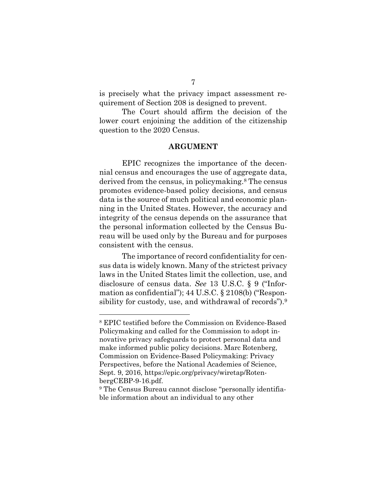is precisely what the privacy impact assessment requirement of Section 208 is designed to prevent.

The Court should affirm the decision of the lower court enjoining the addition of the citizenship question to the 2020 Census.

### **ARGUMENT**

EPIC recognizes the importance of the decennial census and encourages the use of aggregate data, derived from the census, in policymaking.8 The census promotes evidence-based policy decisions, and census data is the source of much political and economic planning in the United States. However, the accuracy and integrity of the census depends on the assurance that the personal information collected by the Census Bureau will be used only by the Bureau and for purposes consistent with the census.

The importance of record confidentiality for census data is widely known. Many of the strictest privacy laws in the United States limit the collection, use, and disclosure of census data. *See* 13 U.S.C. § 9 ("Information as confidential"); 44 U.S.C. § 2108(b) ("Responsibility for custody, use, and withdrawal of records").9

<sup>8</sup> EPIC testified before the Commission on Evidence-Based Policymaking and called for the Commission to adopt innovative privacy safeguards to protect personal data and make informed public policy decisions. Marc Rotenberg, Commission on Evidence-Based Policymaking: Privacy Perspectives, before the National Academies of Science, Sept. 9, 2016, https://epic.org/privacy/wiretap/RotenbergCEBP-9-16.pdf.

<sup>&</sup>lt;sup>9</sup> The Census Bureau cannot disclose "personally identifiable information about an individual to any other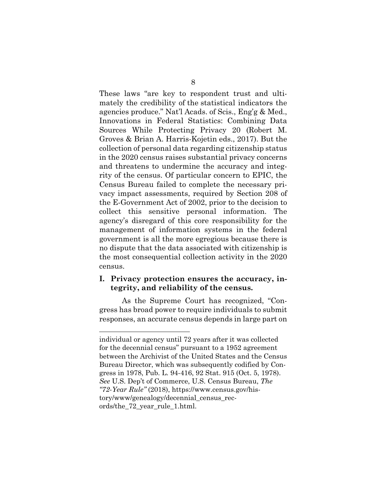These laws "are key to respondent trust and ultimately the credibility of the statistical indicators the agencies produce." Nat'l Acads. of Scis., Eng'g & Med., Innovations in Federal Statistics: Combining Data Sources While Protecting Privacy 20 (Robert M. Groves & Brian A. Harris-Kojetin eds., 2017). But the collection of personal data regarding citizenship status in the 2020 census raises substantial privacy concerns and threatens to undermine the accuracy and integrity of the census. Of particular concern to EPIC, the Census Bureau failed to complete the necessary privacy impact assessments, required by Section 208 of the E-Government Act of 2002, prior to the decision to collect this sensitive personal information. The agency's disregard of this core responsibility for the management of information systems in the federal government is all the more egregious because there is no dispute that the data associated with citizenship is the most consequential collection activity in the 2020 census.

### **I. Privacy protection ensures the accuracy, integrity, and reliability of the census.**

As the Supreme Court has recognized, "Congress has broad power to require individuals to submit responses, an accurate census depends in large part on

individual or agency until 72 years after it was collected for the decennial census" pursuant to a 1952 agreement between the Archivist of the United States and the Census Bureau Director, which was subsequently codified by Congress in 1978, Pub. L. 94-416, 92 Stat. 915 (Oct. 5, 1978). *See* U.S. Dep't of Commerce, U.S. Census Bureau, *The "72-Year Rule"* (2018), https://www.census.gov/history/www/genealogy/decennial\_census\_records/the\_72\_year\_rule\_1.html.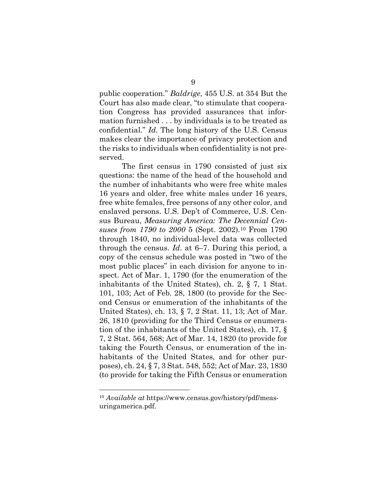public cooperation." *Baldrige*, 455 U.S. at 354 But the Court has also made clear, "to stimulate that cooperation Congress has provided assurances that information furnished . . . by individuals is to be treated as confidential." *Id*. The long history of the U.S. Census makes clear the importance of privacy protection and the risks to individuals when confidentiality is not preserved.

The first census in 1790 consisted of just six questions: the name of the head of the household and the number of inhabitants who were free white males 16 years and older, free white males under 16 years, free white females, free persons of any other color, and enslaved persons. U.S. Dep't of Commerce, U.S. Census Bureau, *Measuring America: The Decennial Censuses from 1790 to 2000* 5 (Sept. 2002).10 From 1790 through 1840, no individual-level data was collected through the census. *Id*. at 6–7. During this period, a copy of the census schedule was posted in "two of the most public places" in each division for anyone to inspect. Act of Mar. 1, 1790 (for the enumeration of the inhabitants of the United States), ch. 2, § 7, 1 Stat. 101, 103; Act of Feb. 28, 1800 (to provide for the Second Census or enumeration of the inhabitants of the United States), ch. 13, § 7, 2 Stat. 11, 13; Act of Mar. 26, 1810 (providing for the Third Census or enumeration of the inhabitants of the United States), ch. 17, § 7, 2 Stat. 564, 568; Act of Mar. 14, 1820 (to provide for taking the Fourth Census, or enumeration of the inhabitants of the United States, and for other purposes), ch. 24, § 7, 3 Stat. 548, 552; Act of Mar. 23, 1830 (to provide for taking the Fifth Census or enumeration

<sup>10</sup> *Available at* https://www.census.gov/history/pdf/measuringamerica.pdf.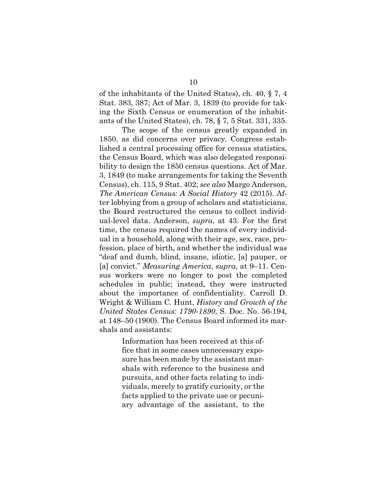of the inhabitants of the United States), ch. 40, § 7, 4 Stat. 383, 387; Act of Mar. 3, 1839 (to provide for taking the Sixth Census or enumeration of the inhabitants of the United States), ch. 78, § 7, 5 Stat. 331, 335.

The scope of the census greatly expanded in 1850, as did concerns over privacy. Congress established a central processing office for census statistics, the Census Board, which was also delegated responsibility to design the 1850 census questions. Act of Mar. 3, 1849 (to make arrangements for taking the Seventh Census), ch. 115, 9 Stat. 402; *see also* Margo Anderson, *The American Census: A Social History* 42 (2015). After lobbying from a group of scholars and statisticians, the Board restructured the census to collect individual-level data. Anderson, *supra*, at 43. For the first time, the census required the names of every individual in a household, along with their age, sex, race, profession, place of birth, and whether the individual was "deaf and dumb, blind, insane, idiotic, [a] pauper, or [a] convict." *Measuring America*, *supra*, at 9–11. Census workers were no longer to post the completed schedules in public; instead, they were instructed about the importance of confidentiality. Carroll D. Wright & William C. Hunt, *History and Growth of the United States Census: 1790-1890*, S. Doc. No. 56-194, at 148–50 (1900). The Census Board informed its marshals and assistants:

> Information has been received at this office that in some cases unnecessary exposure has been made by the assistant marshals with reference to the business and pursuits, and other facts relating to individuals, merely to gratify curiosity, or the facts applied to the private use or pecuniary advantage of the assistant, to the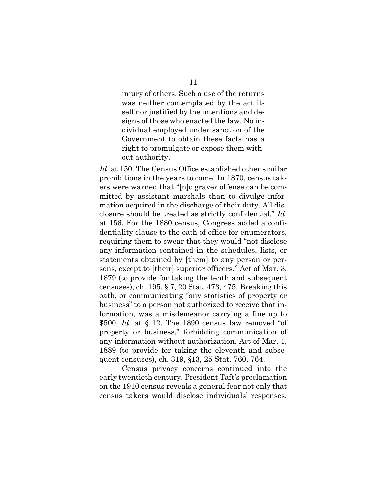injury of others. Such a use of the returns was neither contemplated by the act itself nor justified by the intentions and designs of those who enacted the law. No individual employed under sanction of the Government to obtain these facts has a right to promulgate or expose them without authority.

*Id*. at 150. The Census Office established other similar prohibitions in the years to come. In 1870, census takers were warned that "[n]o graver offense can be committed by assistant marshals than to divulge information acquired in the discharge of their duty. All disclosure should be treated as strictly confidential." *Id*. at 156. For the 1880 census, Congress added a confidentiality clause to the oath of office for enumerators, requiring them to swear that they would "not disclose any information contained in the schedules, lists, or statements obtained by [them] to any person or persons, except to [their] superior officers." Act of Mar. 3, 1879 (to provide for taking the tenth and subsequent censuses), ch. 195, § 7, 20 Stat. 473, 475. Breaking this oath, or communicating "any statistics of property or business" to a person not authorized to receive that information, was a misdemeanor carrying a fine up to \$500. *Id*. at § 12. The 1890 census law removed "of property or business," forbidding communication of any information without authorization. Act of Mar. 1, 1889 (to provide for taking the eleventh and subsequent censuses), ch. 319, §13, 25 Stat. 760, 764.

Census privacy concerns continued into the early twentieth century. President Taft's proclamation on the 1910 census reveals a general fear not only that census takers would disclose individuals' responses,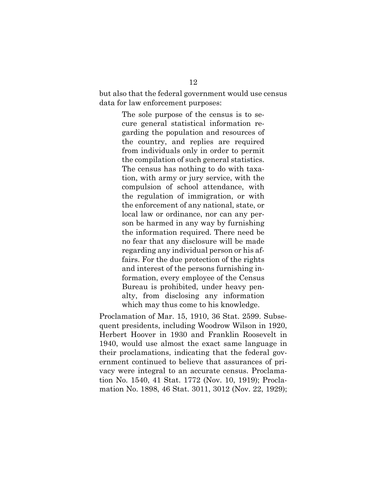but also that the federal government would use census data for law enforcement purposes:

> The sole purpose of the census is to secure general statistical information regarding the population and resources of the country, and replies are required from individuals only in order to permit the compilation of such general statistics. The census has nothing to do with taxation, with army or jury service, with the compulsion of school attendance, with the regulation of immigration, or with the enforcement of any national, state, or local law or ordinance, nor can any person be harmed in any way by furnishing the information required. There need be no fear that any disclosure will be made regarding any individual person or his affairs. For the due protection of the rights and interest of the persons furnishing information, every employee of the Census Bureau is prohibited, under heavy penalty, from disclosing any information which may thus come to his knowledge.

Proclamation of Mar. 15, 1910, 36 Stat. 2599. Subsequent presidents, including Woodrow Wilson in 1920, Herbert Hoover in 1930 and Franklin Roosevelt in 1940, would use almost the exact same language in their proclamations, indicating that the federal government continued to believe that assurances of privacy were integral to an accurate census. Proclamation No. 1540, 41 Stat. 1772 (Nov. 10, 1919); Proclamation No. 1898, 46 Stat. 3011, 3012 (Nov. 22, 1929);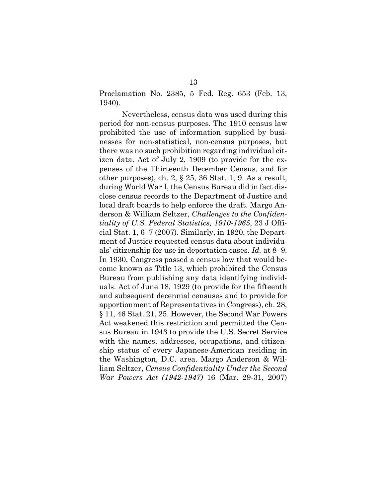Proclamation No. 2385, 5 Fed. Reg. 653 (Feb. 13, 1940).

Nevertheless, census data was used during this period for non-census purposes. The 1910 census law prohibited the use of information supplied by businesses for non-statistical, non-census purposes, but there was no such prohibition regarding individual citizen data. Act of July 2, 1909 (to provide for the expenses of the Thirteenth December Census, and for other purposes), ch. 2, § 25, 36 Stat. 1, 9. As a result, during World War I, the Census Bureau did in fact disclose census records to the Department of Justice and local draft boards to help enforce the draft. Margo Anderson & William Seltzer, *Challenges to the Confidentiality of U.S. Federal Statistics, 1910-1965*, 23 J Official Stat. 1, 6–7 (2007). Similarly, in 1920, the Department of Justice requested census data about individuals' citizenship for use in deportation cases. *Id.* at 8–9. In 1930, Congress passed a census law that would become known as Title 13, which prohibited the Census Bureau from publishing any data identifying individuals. Act of June 18, 1929 (to provide for the fifteenth and subsequent decennial censuses and to provide for apportionment of Representatives in Congress), ch. 28, § 11, 46 Stat. 21, 25. However, the Second War Powers Act weakened this restriction and permitted the Census Bureau in 1943 to provide the U.S. Secret Service with the names, addresses, occupations, and citizenship status of every Japanese-American residing in the Washington, D.C. area. Margo Anderson & William Seltzer, *Census Confidentiality Under the Second War Powers Act (1942-1947)* 16 (Mar. 29-31, 2007)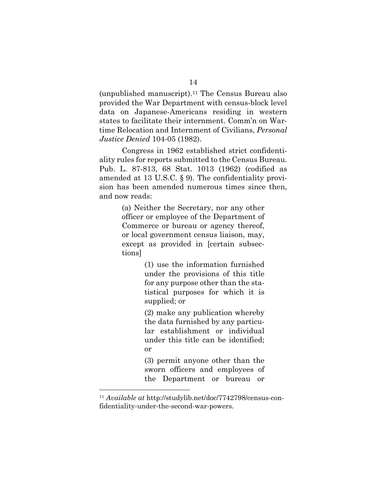(unpublished manuscript).11 The Census Bureau also provided the War Department with census-block level data on Japanese-Americans residing in western states to facilitate their internment. Comm'n on Wartime Relocation and Internment of Civilians, *Personal Justice Denied* 104-05 (1982).

Congress in 1962 established strict confidentiality rules for reports submitted to the Census Bureau. Pub. L. 87-813, 68 Stat. 1013 (1962) (codified as amended at 13 U.S.C. § 9). The confidentiality provision has been amended numerous times since then, and now reads:

> (a) Neither the Secretary, nor any other officer or employee of the Department of Commerce or bureau or agency thereof, or local government census liaison, may, except as provided in [certain subsections]

> > (1) use the information furnished under the provisions of this title for any purpose other than the statistical purposes for which it is supplied; or

> > (2) make any publication whereby the data furnished by any particular establishment or individual under this title can be identified; or

> > (3) permit anyone other than the sworn officers and employees of the Department or bureau or

<sup>11</sup> *Available at* http://studylib.net/doc/7742798/census-confidentiality-under-the-second-war-powers.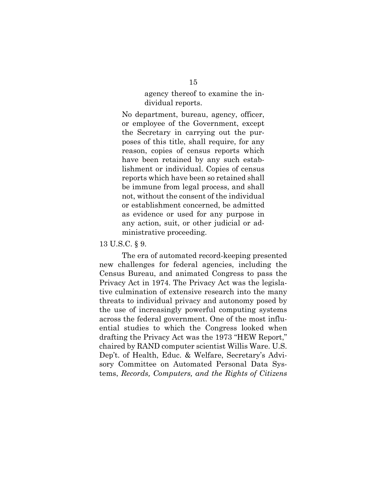agency thereof to examine the individual reports.

No department, bureau, agency, officer, or employee of the Government, except the Secretary in carrying out the purposes of this title, shall require, for any reason, copies of census reports which have been retained by any such establishment or individual. Copies of census reports which have been so retained shall be immune from legal process, and shall not, without the consent of the individual or establishment concerned, be admitted as evidence or used for any purpose in any action, suit, or other judicial or administrative proceeding.

#### 13 U.S.C. § 9.

The era of automated record-keeping presented new challenges for federal agencies, including the Census Bureau, and animated Congress to pass the Privacy Act in 1974. The Privacy Act was the legislative culmination of extensive research into the many threats to individual privacy and autonomy posed by the use of increasingly powerful computing systems across the federal government. One of the most influential studies to which the Congress looked when drafting the Privacy Act was the 1973 "HEW Report," chaired by RAND computer scientist Willis Ware. U.S. Dep't. of Health, Educ. & Welfare, Secretary's Advisory Committee on Automated Personal Data Systems, *Records, Computers, and the Rights of Citizens*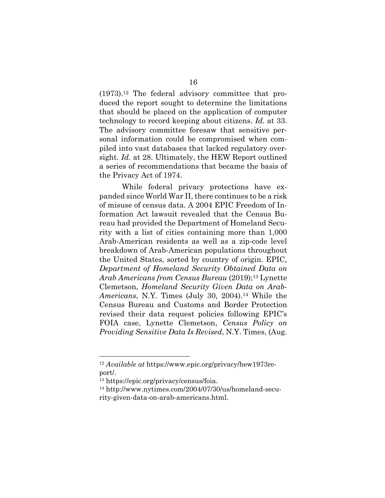(1973).12 The federal advisory committee that produced the report sought to determine the limitations that should be placed on the application of computer technology to record keeping about citizens. *Id.* at 33. The advisory committee foresaw that sensitive personal information could be compromised when compiled into vast databases that lacked regulatory oversight. *Id.* at 28. Ultimately, the HEW Report outlined a series of recommendations that became the basis of the Privacy Act of 1974.

While federal privacy protections have expanded since World War II, there continues to be a risk of misuse of census data. A 2004 EPIC Freedom of Information Act lawsuit revealed that the Census Bureau had provided the Department of Homeland Security with a list of cities containing more than 1,000 Arab-American residents as well as a zip-code level breakdown of Arab-American populations throughout the United States, sorted by country of origin. EPIC, *Department of Homeland Security Obtained Data on Arab Americans from Census Bureau* (2019);13 Lynette Clemetson, *Homeland Security Given Data on Arab-Americans*, N.Y. Times (July 30, 2004).14 While the Census Bureau and Customs and Border Protection revised their data request policies following EPIC's FOIA case, Lynette Clemetson, *Census Policy on Providing Sensitive Data Is Revised*, N.Y. Times, (Aug.

<sup>12</sup> *Available at* https://www.epic.org/privacy/hew1973report/.

<sup>13</sup> https://epic.org/privacy/census/foia.

<sup>14</sup> http://www.nytimes.com/2004/07/30/us/homeland-security-given-data-on-arab-americans.html.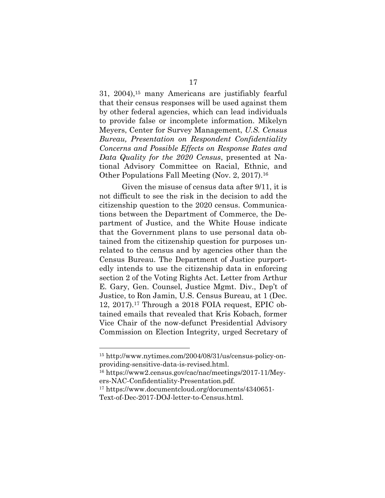31, 2004),15 many Americans are justifiably fearful that their census responses will be used against them by other federal agencies, which can lead individuals to provide false or incomplete information. Mikelyn Meyers, Center for Survey Management, *U.S. Census Bureau, Presentation on Respondent Confidentiality Concerns and Possible Effects on Response Rates and Data Quality for the 2020 Census*, presented at National Advisory Committee on Racial, Ethnic, and Other Populations Fall Meeting (Nov. 2, 2017).16

Given the misuse of census data after 9/11, it is not difficult to see the risk in the decision to add the citizenship question to the 2020 census. Communications between the Department of Commerce, the Department of Justice, and the White House indicate that the Government plans to use personal data obtained from the citizenship question for purposes unrelated to the census and by agencies other than the Census Bureau. The Department of Justice purportedly intends to use the citizenship data in enforcing section 2 of the Voting Rights Act. Letter from Arthur E. Gary, Gen. Counsel, Justice Mgmt. Div., Dep't of Justice, to Ron Jamin, U.S. Census Bureau, at 1 (Dec. 12, 2017).17 Through a 2018 FOIA request, EPIC obtained emails that revealed that Kris Kobach, former Vice Chair of the now-defunct Presidential Advisory Commission on Election Integrity, urged Secretary of

<sup>15</sup> http://www.nytimes.com/2004/08/31/us/census-policy-onproviding-sensitive-data-is-revised.html.

<sup>16</sup> https://www2.census.gov/cac/nac/meetings/2017-11/Meyers-NAC-Confidentiality-Presentation.pdf.

<sup>17</sup> https://www.documentcloud.org/documents/4340651-

Text-of-Dec-2017-DOJ-letter-to-Census.html.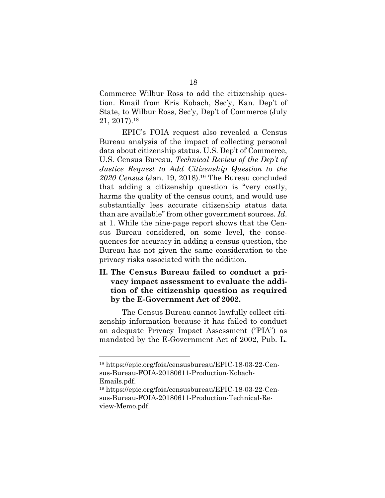Commerce Wilbur Ross to add the citizenship question. Email from Kris Kobach, Sec'y, Kan. Dep't of State, to Wilbur Ross, Sec'y, Dep't of Commerce (July 21, 2017).18

EPIC's FOIA request also revealed a Census Bureau analysis of the impact of collecting personal data about citizenship status. U.S. Dep't of Commerce, U.S. Census Bureau, *Technical Review of the Dep't of Justice Request to Add Citizenship Question to the 2020 Census* (Jan. 19, 2018).19 The Bureau concluded that adding a citizenship question is "very costly, harms the quality of the census count, and would use substantially less accurate citizenship status data than are available" from other government sources. *Id*. at 1. While the nine-page report shows that the Census Bureau considered, on some level, the consequences for accuracy in adding a census question, the Bureau has not given the same consideration to the privacy risks associated with the addition.

**II. The Census Bureau failed to conduct a privacy impact assessment to evaluate the addition of the citizenship question as required by the E-Government Act of 2002.**

The Census Bureau cannot lawfully collect citizenship information because it has failed to conduct an adequate Privacy Impact Assessment ("PIA") as mandated by the E-Government Act of 2002, Pub. L.

<sup>18</sup> https://epic.org/foia/censusbureau/EPIC-18-03-22-Census-Bureau-FOIA-20180611-Production-Kobach-Emails.pdf.

<sup>19</sup> https://epic.org/foia/censusbureau/EPIC-18-03-22-Census-Bureau-FOIA-20180611-Production-Technical-Review-Memo.pdf.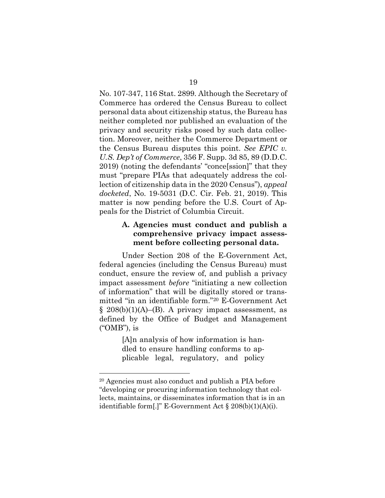No. 107-347, 116 Stat. 2899. Although the Secretary of Commerce has ordered the Census Bureau to collect personal data about citizenship status, the Bureau has neither completed nor published an evaluation of the privacy and security risks posed by such data collection. Moreover, neither the Commerce Department or the Census Bureau disputes this point. *See EPIC v. U.S. Dep't of Commerce*, 356 F. Supp. 3d 85, 89 (D.D.C. 2019) (noting the defendants' "conce[ssion]" that they must "prepare PIAs that adequately address the collection of citizenship data in the 2020 Census"), *appeal docketed*, No. 19-5031 (D.C. Cir. Feb. 21, 2019). This matter is now pending before the U.S. Court of Appeals for the District of Columbia Circuit.

## **A. Agencies must conduct and publish a comprehensive privacy impact assessment before collecting personal data.**

Under Section 208 of the E-Government Act, federal agencies (including the Census Bureau) must conduct, ensure the review of, and publish a privacy impact assessment *before* "initiating a new collection of information" that will be digitally stored or transmitted "in an identifiable form."20 E-Government Act  $\S$  208(b)(1)(A)–(B). A privacy impact assessment, as defined by the Office of Budget and Management ("OMB"), is

> [A]n analysis of how information is handled to ensure handling conforms to applicable legal, regulatory, and policy

<sup>20</sup> Agencies must also conduct and publish a PIA before "developing or procuring information technology that collects, maintains, or disseminates information that is in an identifiable form[.]" E-Government Act  $\S 208(b)(1)(A)(i)$ .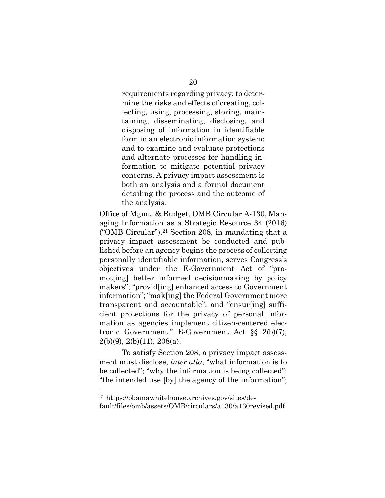requirements regarding privacy; to determine the risks and effects of creating, collecting, using, processing, storing, maintaining, disseminating, disclosing, and disposing of information in identifiable form in an electronic information system; and to examine and evaluate protections and alternate processes for handling information to mitigate potential privacy concerns. A privacy impact assessment is both an analysis and a formal document detailing the process and the outcome of the analysis.

Office of Mgmt. & Budget, OMB Circular A-130, Managing Information as a Strategic Resource 34 (2016) ("OMB Circular").<sup>21</sup> Section 208, in mandating that a privacy impact assessment be conducted and published before an agency begins the process of collecting personally identifiable information, serves Congress's objectives under the E-Government Act of "promot[ing] better informed decisionmaking by policy makers"; "provid[ing] enhanced access to Government information"; "mak[ing] the Federal Government more transparent and accountable"; and "ensur[ing] sufficient protections for the privacy of personal information as agencies implement citizen-centered electronic Government." E-Government Act §§ 2(b)(7), 2(b)(9), 2(b)(11), 208(a).

To satisfy Section 208, a privacy impact assessment must disclose, *inter alia*, "what information is to be collected"; "why the information is being collected"; "the intended use [by] the agency of the information";

<sup>21</sup> https://obamawhitehouse.archives.gov/sites/de-

fault/files/omb/assets/OMB/circulars/a130/a130revised.pdf.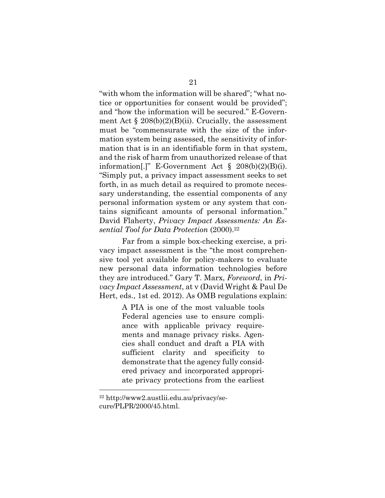"with whom the information will be shared"; "what notice or opportunities for consent would be provided"; and "how the information will be secured." E-Government Act  $\S 208(b)(2)(B)(ii)$ . Crucially, the assessment must be "commensurate with the size of the information system being assessed, the sensitivity of information that is in an identifiable form in that system, and the risk of harm from unauthorized release of that information[.]" E-Government Act  $\S$  208(b)(2)(B)(i). "Simply put, a privacy impact assessment seeks to set forth, in as much detail as required to promote necessary understanding, the essential components of any personal information system or any system that contains significant amounts of personal information." David Flaherty, *Privacy Impact Assessments: An Essential Tool for Data Protection* (2000).22

Far from a simple box-checking exercise, a privacy impact assessment is the "the most comprehensive tool yet available for policy-makers to evaluate new personal data information technologies before they are introduced." Gary T. Marx, *Foreword*, in *Privacy Impact Assessment*, at v (David Wright & Paul De Hert, eds., 1st ed. 2012). As OMB regulations explain:

> A PIA is one of the most valuable tools Federal agencies use to ensure compliance with applicable privacy requirements and manage privacy risks. Agencies shall conduct and draft a PIA with sufficient clarity and specificity to demonstrate that the agency fully considered privacy and incorporated appropriate privacy protections from the earliest

<sup>22</sup> http://www2.austlii.edu.au/privacy/secure/PLPR/2000/45.html.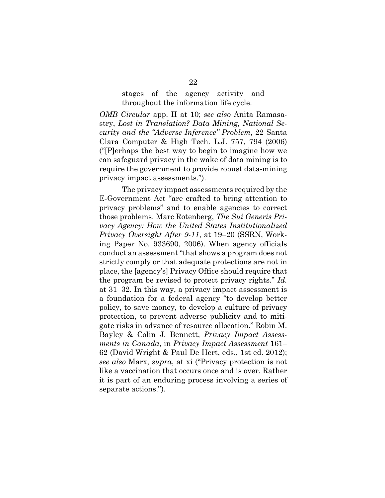stages of the agency activity and throughout the information life cycle.

*OMB Circular* app. II at 10; *see also* Anita Ramasastry, *Lost in Translation? Data Mining, National Security and the "Adverse Inference" Problem*, 22 Santa Clara Computer & High Tech. L.J. 757, 794 (2006) ("[P]erhaps the best way to begin to imagine how we can safeguard privacy in the wake of data mining is to require the government to provide robust data-mining privacy impact assessments.").

The privacy impact assessments required by the E-Government Act "are crafted to bring attention to privacy problems" and to enable agencies to correct those problems. Marc Rotenberg, *The Sui Generis Privacy Agency: How the United States Institutionalized Privacy Oversight After 9-11*, at 19–20 (SSRN, Working Paper No. 933690, 2006). When agency officials conduct an assessment "that shows a program does not strictly comply or that adequate protections are not in place, the [agency's] Privacy Office should require that the program be revised to protect privacy rights." *Id.* at 31–32. In this way, a privacy impact assessment is a foundation for a federal agency "to develop better policy, to save money, to develop a culture of privacy protection, to prevent adverse publicity and to mitigate risks in advance of resource allocation." Robin M. Bayley & Colin J. Bennett, *Privacy Impact Assessments in Canada*, in *Privacy Impact Assessment* 161– 62 (David Wright & Paul De Hert, eds., 1st ed. 2012); *see also* Marx, *supra*, at xi ("Privacy protection is not like a vaccination that occurs once and is over. Rather it is part of an enduring process involving a series of separate actions.").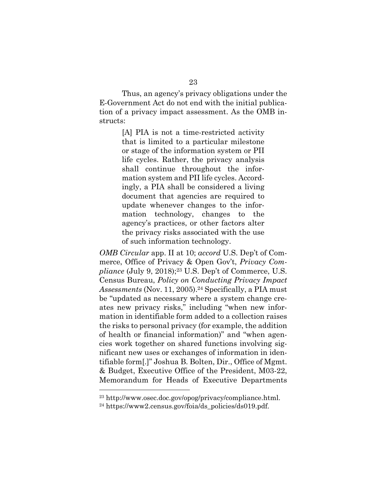Thus, an agency's privacy obligations under the E-Government Act do not end with the initial publication of a privacy impact assessment. As the OMB instructs:

> [A] PIA is not a time-restricted activity that is limited to a particular milestone or stage of the information system or PII life cycles. Rather, the privacy analysis shall continue throughout the information system and PII life cycles. Accordingly, a PIA shall be considered a living document that agencies are required to update whenever changes to the information technology, changes to the agency's practices, or other factors alter the privacy risks associated with the use of such information technology.

*OMB Circular* app. II at 10; *accord* U.S. Dep't of Commerce, Office of Privacy & Open Gov't, *Privacy Compliance* (July 9, 2018);23 U.S. Dep't of Commerce, U.S. Census Bureau, *Policy on Conducting Privacy Impact*  Assessments (Nov. 11, 2005).<sup>24</sup> Specifically, a PIA must be "updated as necessary where a system change creates new privacy risks," including "when new information in identifiable form added to a collection raises the risks to personal privacy (for example, the addition of health or financial information)" and "when agencies work together on shared functions involving significant new uses or exchanges of information in identifiable form[.]" Joshua B. Bolten, Dir., Office of Mgmt. & Budget, Executive Office of the President, M03-22, Memorandum for Heads of Executive Departments

<sup>23</sup> http://www.osec.doc.gov/opog/privacy/compliance.html.

<sup>&</sup>lt;sup>24</sup> https://www2.census.gov/foia/ds\_policies/ds019.pdf.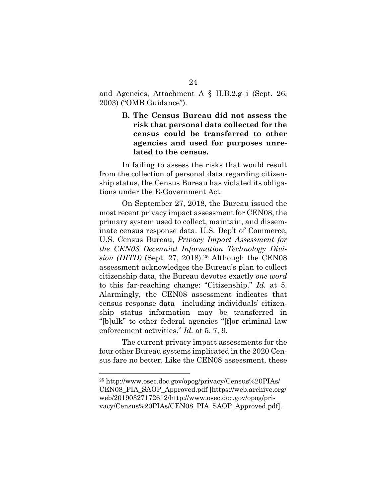and Agencies, Attachment A § II.B.2.g–i (Sept. 26, 2003) ("OMB Guidance").

> **B. The Census Bureau did not assess the risk that personal data collected for the census could be transferred to other agencies and used for purposes unrelated to the census.**

In failing to assess the risks that would result from the collection of personal data regarding citizenship status, the Census Bureau has violated its obligations under the E-Government Act.

On September 27, 2018, the Bureau issued the most recent privacy impact assessment for CEN08, the primary system used to collect, maintain, and disseminate census response data. U.S. Dep't of Commerce, U.S. Census Bureau, *Privacy Impact Assessment for the CEN08 Decennial Information Technology Division (DITD)* (Sept. 27, 2018).<sup>25</sup> Although the CEN08 assessment acknowledges the Bureau's plan to collect citizenship data, the Bureau devotes exactly *one word* to this far-reaching change: "Citizenship." *Id.* at 5. Alarmingly, the CEN08 assessment indicates that census response data—including individuals' citizenship status information—may be transferred in "[b]ulk" to other federal agencies "[f]or criminal law enforcement activities." *Id.* at 5, 7, 9.

The current privacy impact assessments for the four other Bureau systems implicated in the 2020 Census fare no better. Like the CEN08 assessment, these

<sup>25</sup> http://www.osec.doc.gov/opog/privacy/Census%20PIAs/ CEN08\_PIA\_SAOP\_Approved.pdf [https://web.archive.org/ web/20190327172612/http://www.osec.doc.gov/opog/privacy/Census%20PIAs/CEN08\_PIA\_SAOP\_Approved.pdf].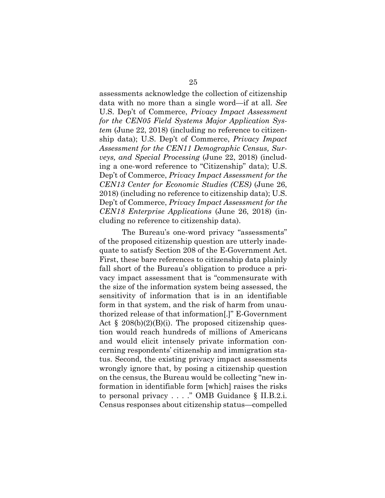assessments acknowledge the collection of citizenship data with no more than a single word—if at all. *See*  U.S. Dep't of Commerce, *Privacy Impact Assessment for the CEN05 Field Systems Major Application System* (June 22, 2018) (including no reference to citizenship data); U.S. Dep't of Commerce, *Privacy Impact Assessment for the CEN11 Demographic Census, Surveys, and Special Processing* (June 22, 2018) (including a one-word reference to "Citizenship" data); U.S. Dep't of Commerce, *Privacy Impact Assessment for the CEN13 Center for Economic Studies (CES)* (June 26, 2018) (including no reference to citizenship data); U.S. Dep't of Commerce, *Privacy Impact Assessment for the CEN18 Enterprise Applications* (June 26, 2018) (including no reference to citizenship data).

The Bureau's one-word privacy "assessments" of the proposed citizenship question are utterly inadequate to satisfy Section 208 of the E-Government Act. First, these bare references to citizenship data plainly fall short of the Bureau's obligation to produce a privacy impact assessment that is "commensurate with the size of the information system being assessed, the sensitivity of information that is in an identifiable form in that system, and the risk of harm from unauthorized release of that information[.]" E-Government Act  $\S 208(b)(2)(B)(i)$ . The proposed citizenship question would reach hundreds of millions of Americans and would elicit intensely private information concerning respondents' citizenship and immigration status. Second, the existing privacy impact assessments wrongly ignore that, by posing a citizenship question on the census, the Bureau would be collecting "new information in identifiable form [which] raises the risks to personal privacy . . . ." OMB Guidance § II.B.2.i. Census responses about citizenship status—compelled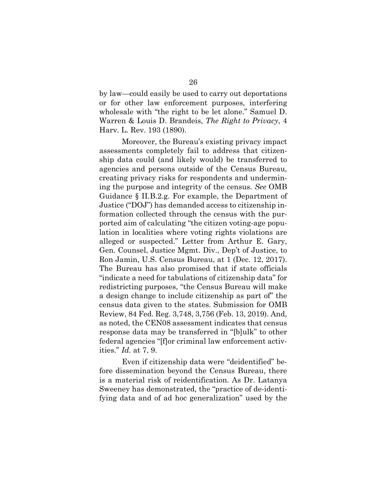by law—could easily be used to carry out deportations or for other law enforcement purposes, interfering wholesale with "the right to be let alone." Samuel D. Warren & Louis D. Brandeis, *The Right to Privacy*, 4 Harv. L. Rev. 193 (1890).

Moreover, the Bureau's existing privacy impact assessments completely fail to address that citizenship data could (and likely would) be transferred to agencies and persons outside of the Census Bureau, creating privacy risks for respondents and undermining the purpose and integrity of the census. *See* OMB Guidance § II.B.2.g. For example, the Department of Justice ("DOJ") has demanded access to citizenship information collected through the census with the purported aim of calculating "the citizen voting-age population in localities where voting rights violations are alleged or suspected." Letter from Arthur E. Gary, Gen. Counsel, Justice Mgmt. Div., Dep't of Justice, to Ron Jamin, U.S. Census Bureau, at 1 (Dec. 12, 2017). The Bureau has also promised that if state officials "indicate a need for tabulations of citizenship data" for redistricting purposes, "the Census Bureau will make a design change to include citizenship as part of" the census data given to the states. Submission for OMB Review, 84 Fed. Reg. 3,748, 3,756 (Feb. 13, 2019). And, as noted, the CEN08 assessment indicates that census response data may be transferred in "[b]ulk" to other federal agencies "[f]or criminal law enforcement activities." *Id.* at 7, 9.

Even if citizenship data were "deidentified" before dissemination beyond the Census Bureau, there is a material risk of reidentification. As Dr. Latanya Sweeney has demonstrated, the "practice of de-identifying data and of ad hoc generalization" used by the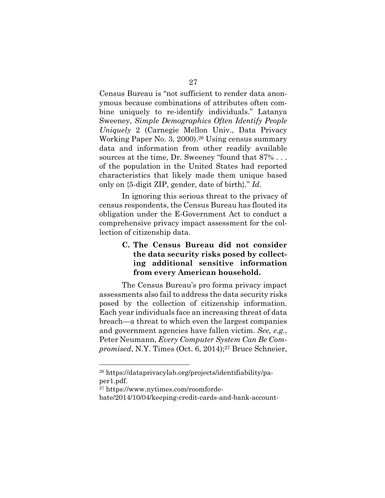Census Bureau is "not sufficient to render data anonymous because combinations of attributes often combine uniquely to re-identify individuals." Latanya Sweeney, *Simple Demographics Often Identify People Uniquely* 2 (Carnegie Mellon Univ., Data Privacy Working Paper No. 3, 2000).26 Using census summary data and information from other readily available sources at the time, Dr. Sweeney "found that 87% . . . of the population in the United States had reported characteristics that likely made them unique based only on {5-digit ZIP, gender, date of birth}." *Id.*

In ignoring this serious threat to the privacy of census respondents, the Census Bureau has flouted its obligation under the E-Government Act to conduct a comprehensive privacy impact assessment for the collection of citizenship data.

## **C. The Census Bureau did not consider the data security risks posed by collecting additional sensitive information from every American household.**

The Census Bureau's pro forma privacy impact assessments also fail to address the data security risks posed by the collection of citizenship information. Each year individuals face an increasing threat of data breach—a threat to which even the largest companies and government agencies have fallen victim. *See, e.g.*, Peter Neumann, *Every Computer System Can Be Compromised*, N.Y. Times (Oct. 6, 2014);<sup>27</sup> Bruce Schneier,

<sup>26</sup> https://dataprivacylab.org/projects/identifiability/paper1.pdf.

<sup>27</sup> https://www.nytimes.com/roomforde-

bate/2014/10/04/keeping-credit-cards-and-bank-account-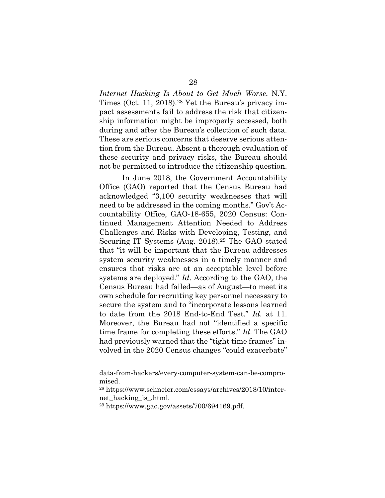*Internet Hacking Is About to Get Much Worse*, N.Y. Times (Oct. 11, 2018).<sup>28</sup> Yet the Bureau's privacy impact assessments fail to address the risk that citizenship information might be improperly accessed, both during and after the Bureau's collection of such data. These are serious concerns that deserve serious attention from the Bureau. Absent a thorough evaluation of these security and privacy risks, the Bureau should not be permitted to introduce the citizenship question.

In June 2018, the Government Accountability Office (GAO) reported that the Census Bureau had acknowledged "3,100 security weaknesses that will need to be addressed in the coming months." Gov't Accountability Office, GAO-18-655, 2020 Census: Continued Management Attention Needed to Address Challenges and Risks with Developing, Testing, and Securing IT Systems (Aug. 2018).29 The GAO stated that "it will be important that the Bureau addresses system security weaknesses in a timely manner and ensures that risks are at an acceptable level before systems are deployed." *Id*. According to the GAO, the Census Bureau had failed—as of August—to meet its own schedule for recruiting key personnel necessary to secure the system and to "incorporate lessons learned to date from the 2018 End-to-End Test." *Id.* at 11. Moreover, the Bureau had not "identified a specific time frame for completing these efforts." *Id*. The GAO had previously warned that the "tight time frames" involved in the 2020 Census changes "could exacerbate"

data-from-hackers/every-computer-system-can-be-compromised.

<sup>28</sup> https://www.schneier.com/essays/archives/2018/10/internet\_hacking\_is\_.html.

 $^{29}$  https://www.gao.gov/assets/700/694169.pdf.